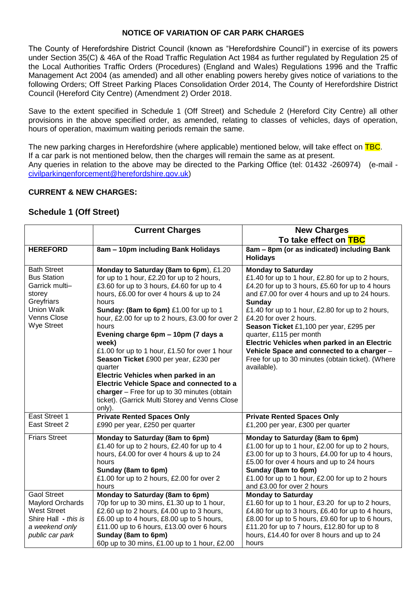## **NOTICE OF VARIATION OF CAR PARK CHARGES**

The County of Herefordshire District Council (known as "Herefordshire Council") in exercise of its powers under Section 35(C) & 46A of the Road Traffic Regulation Act 1984 as further regulated by Regulation 25 of the Local Authorities Traffic Orders (Procedures) (England and Wales) Regulations 1996 and the Traffic Management Act 2004 (as amended) and all other enabling powers hereby gives notice of variations to the following Orders; Off Street Parking Places Consolidation Order 2014, The County of Herefordshire District Council (Hereford City Centre) (Amendment 2) Order 2018.

Save to the extent specified in Schedule 1 (Off Street) and Schedule 2 (Hereford City Centre) all other provisions in the above specified order, as amended, relating to classes of vehicles, days of operation, hours of operation, maximum waiting periods remain the same.

The new parking charges in Herefordshire (where applicable) mentioned below, will take effect on TBC. If a car park is not mentioned below, then the charges will remain the same as at present. Any queries in relation to the above may be directed to the Parking Office (tel: 01432 -260974) (e-mail [civilparkingenforcement@herefordshire.gov.uk\)](mailto:civilparkingenforcement@herefordshire.gov.uk)

## **CURRENT & NEW CHARGES:**

## **Schedule 1 (Off Street)**

|                                                                                                                                  | <b>Current Charges</b>                                                                                                                                                                                                                                                                                                                                                                                                                                                                                                                                                                                                                            | <b>New Charges</b>                                                                                                                                                                                                                                                                                                                                                                                                                                                                                                   |
|----------------------------------------------------------------------------------------------------------------------------------|---------------------------------------------------------------------------------------------------------------------------------------------------------------------------------------------------------------------------------------------------------------------------------------------------------------------------------------------------------------------------------------------------------------------------------------------------------------------------------------------------------------------------------------------------------------------------------------------------------------------------------------------------|----------------------------------------------------------------------------------------------------------------------------------------------------------------------------------------------------------------------------------------------------------------------------------------------------------------------------------------------------------------------------------------------------------------------------------------------------------------------------------------------------------------------|
|                                                                                                                                  |                                                                                                                                                                                                                                                                                                                                                                                                                                                                                                                                                                                                                                                   | To take effect on TBC                                                                                                                                                                                                                                                                                                                                                                                                                                                                                                |
| <b>HEREFORD</b>                                                                                                                  | 8am - 10pm including Bank Holidays                                                                                                                                                                                                                                                                                                                                                                                                                                                                                                                                                                                                                | 8am - 8pm (or as indicated) including Bank<br><b>Holidays</b>                                                                                                                                                                                                                                                                                                                                                                                                                                                        |
| <b>Bath Street</b><br><b>Bus Station</b><br>Garrick multi-<br>storey<br>Greyfriars<br>Union Walk<br>Venns Close<br>Wye Street    | Monday to Saturday (8am to 6pm), £1.20<br>for up to 1 hour, £2.20 for up to 2 hours,<br>£3.60 for up to 3 hours, £4.60 for up to 4<br>hours, £6.00 for over 4 hours & up to 24<br>hours<br>Sunday: (8am to 6pm) £1.00 for up to 1<br>hour, £2.00 for up to 2 hours, £3.00 for over 2<br>hours<br>Evening charge 6pm - 10pm (7 days a<br>week)<br>£1.00 for up to 1 hour, £1.50 for over 1 hour<br>Season Ticket £900 per year, £230 per<br>quarter<br>Electric Vehicles when parked in an<br>Electric Vehicle Space and connected to a<br>charger - Free for up to 30 minutes (obtain<br>ticket). (Garrick Multi Storey and Venns Close<br>only). | <b>Monday to Saturday</b><br>£1.40 for up to 1 hour, £2.80 for up to 2 hours,<br>£4.20 for up to 3 hours, £5.60 for up to 4 hours<br>and £7.00 for over 4 hours and up to 24 hours.<br>Sunday<br>£1.40 for up to 1 hour, £2.80 for up to 2 hours,<br>£4.20 for over 2 hours.<br>Season Ticket £1,100 per year, £295 per<br>quarter, £115 per month<br>Electric Vehicles when parked in an Electric<br>Vehicle Space and connected to a charger -<br>Free for up to 30 minutes (obtain ticket). (Where<br>available). |
| East Street 1<br>East Street 2                                                                                                   | <b>Private Rented Spaces Only</b><br>£990 per year, £250 per quarter                                                                                                                                                                                                                                                                                                                                                                                                                                                                                                                                                                              | <b>Private Rented Spaces Only</b><br>£1,200 per year, £300 per quarter                                                                                                                                                                                                                                                                                                                                                                                                                                               |
| <b>Friars Street</b>                                                                                                             | Monday to Saturday (8am to 6pm)<br>£1.40 for up to 2 hours, £2.40 for up to 4<br>hours, £4.00 for over 4 hours & up to 24<br>hours<br>Sunday (8am to 6pm)<br>£1.00 for up to 2 hours, £2.00 for over 2<br>hours                                                                                                                                                                                                                                                                                                                                                                                                                                   | Monday to Saturday (8am to 6pm)<br>£1.00 for up to 1 hour, £2.00 for up to 2 hours,<br>£3.00 for up to 3 hours, £4.00 for up to 4 hours,<br>£5.00 for over 4 hours and up to 24 hours<br>Sunday (8am to 6pm)<br>£1.00 for up to 1 hour, £2.00 for up to 2 hours<br>and £3.00 for over 2 hours                                                                                                                                                                                                                        |
| <b>Gaol Street</b><br><b>Maylord Orchards</b><br><b>West Street</b><br>Shire Hall - this is<br>a weekend only<br>public car park | Monday to Saturday (8am to 6pm)<br>70p for up to 30 mins, £1.30 up to 1 hour,<br>£2.60 up to 2 hours, £4.00 up to 3 hours,<br>£6.00 up to 4 hours, £8.00 up to 5 hours,<br>£11.00 up to 6 hours, £13.00 over 6 hours<br>Sunday (8am to 6pm)<br>60p up to 30 mins, £1.00 up to 1 hour, £2.00                                                                                                                                                                                                                                                                                                                                                       | <b>Monday to Saturday</b><br>£1.60 for up to 1 hour, £3.20 for up to 2 hours,<br>£4.80 for up to 3 hours, £6.40 for up to 4 hours,<br>£8.00 for up to 5 hours, £9.60 for up to 6 hours,<br>£11.20 for up to 7 hours, £12.80 for up to 8<br>hours, £14.40 for over 8 hours and up to 24<br>hours                                                                                                                                                                                                                      |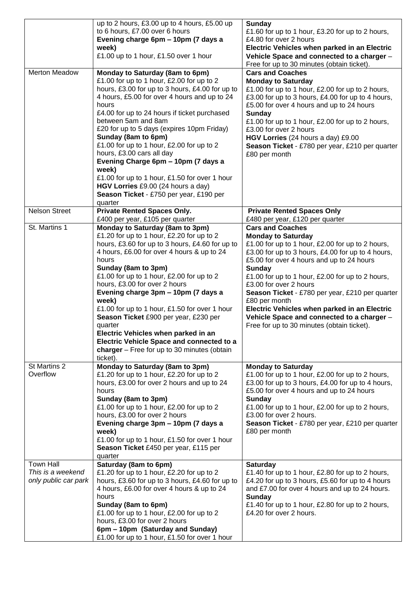|                                           | up to 2 hours, £3.00 up to 4 hours, £5.00 up                                                 | <b>Sunday</b>                                                                                        |
|-------------------------------------------|----------------------------------------------------------------------------------------------|------------------------------------------------------------------------------------------------------|
|                                           | to 6 hours, £7.00 over 6 hours<br>Evening charge 6pm - 10pm (7 days a                        | £1.60 for up to 1 hour, £3.20 for up to 2 hours,<br>£4.80 for over 2 hours                           |
|                                           | week)                                                                                        | Electric Vehicles when parked in an Electric                                                         |
|                                           | £1.00 up to 1 hour, £1.50 over 1 hour                                                        | Vehicle Space and connected to a charger -<br>Free for up to 30 minutes (obtain ticket).             |
| <b>Merton Meadow</b>                      | Monday to Saturday (8am to 6pm)<br>£1.00 for up to 1 hour, £2.00 for up to 2                 | <b>Cars and Coaches</b><br><b>Monday to Saturday</b>                                                 |
|                                           | hours, £3.00 for up to 3 hours, £4.00 for up to                                              | £1.00 for up to 1 hour, £2.00 for up to 2 hours,                                                     |
|                                           | 4 hours, £5.00 for over 4 hours and up to 24<br>hours                                        | £3.00 for up to 3 hours, £4.00 for up to 4 hours,<br>£5.00 for over 4 hours and up to 24 hours       |
|                                           | £4.00 for up to 24 hours if ticket purchased                                                 | <b>Sunday</b>                                                                                        |
|                                           | between 5am and 8am<br>£20 for up to 5 days (expires 10pm Friday)                            | £1.00 for up to 1 hour, £2.00 for up to 2 hours,<br>£3.00 for over 2 hours                           |
|                                           | Sunday (8am to 6pm)                                                                          | HGV Lorries (24 hours a day) £9.00                                                                   |
|                                           | £1.00 for up to 1 hour, £2.00 for up to 2                                                    | Season Ticket - £780 per year, £210 per quarter                                                      |
|                                           | hours, £3.00 cars all day<br>Evening Charge 6pm - 10pm (7 days a                             | £80 per month                                                                                        |
|                                           | week)                                                                                        |                                                                                                      |
|                                           | £1.00 for up to 1 hour, £1.50 for over 1 hour                                                |                                                                                                      |
|                                           | HGV Lorries £9.00 (24 hours a day)                                                           |                                                                                                      |
|                                           | Season Ticket - £750 per year, £190 per<br>quarter                                           |                                                                                                      |
| <b>Nelson Street</b>                      | <b>Private Rented Spaces Only.</b>                                                           | <b>Private Rented Spaces Only</b>                                                                    |
|                                           | £400 per year, £105 per quarter                                                              | £480 per year, £120 per quarter                                                                      |
| St. Martins 1                             | Monday to Saturday (8am to 3pm)<br>£1.20 for up to 1 hour, £2.20 for up to 2                 | <b>Cars and Coaches</b><br><b>Monday to Saturday</b>                                                 |
|                                           | hours, £3.60 for up to 3 hours, £4.60 for up to                                              | £1.00 for up to 1 hour, £2.00 for up to 2 hours,                                                     |
|                                           | 4 hours, £6.00 for over 4 hours & up to 24                                                   | £3.00 for up to 3 hours, £4.00 for up to 4 hours,                                                    |
|                                           | hours<br>Sunday (8am to 3pm)                                                                 | £5.00 for over 4 hours and up to 24 hours<br><b>Sunday</b>                                           |
|                                           | £1.00 for up to 1 hour, £2.00 for up to 2                                                    | £1.00 for up to 1 hour, £2.00 for up to 2 hours,                                                     |
|                                           | hours, £3.00 for over 2 hours                                                                | £3.00 for over 2 hours                                                                               |
|                                           | Evening charge 3pm - 10pm (7 days a                                                          | Season Ticket - £780 per year, £210 per quarter                                                      |
|                                           | week)<br>£1.00 for up to 1 hour, £1.50 for over 1 hour                                       | £80 per month<br>Electric Vehicles when parked in an Electric                                        |
|                                           | Season Ticket £900 per year, £230 per                                                        | Vehicle Space and connected to a charger -                                                           |
|                                           | quarter                                                                                      | Free for up to 30 minutes (obtain ticket).                                                           |
|                                           | Electric Vehicles when parked in an<br>Electric Vehicle Space and connected to a             |                                                                                                      |
|                                           | charger - Free for up to 30 minutes (obtain                                                  |                                                                                                      |
|                                           | ticket).                                                                                     |                                                                                                      |
| St Martins 2<br>Overflow                  | Monday to Saturday (8am to 3pm)<br>£1.20 for up to 1 hour, £2.20 for up to 2                 | <b>Monday to Saturday</b><br>£1.00 for up to 1 hour, £2.00 for up to 2 hours,                        |
|                                           | hours, £3.00 for over 2 hours and up to 24                                                   | £3.00 for up to 3 hours, £4.00 for up to 4 hours,                                                    |
|                                           | hours                                                                                        | £5.00 for over 4 hours and up to 24 hours                                                            |
|                                           | Sunday (8am to 3pm)                                                                          | <b>Sunday</b>                                                                                        |
|                                           | £1.00 for up to 1 hour, £2.00 for up to 2<br>hours, £3.00 for over 2 hours                   | £1.00 for up to 1 hour, £2.00 for up to 2 hours,<br>£3.00 for over 2 hours.                          |
|                                           | Evening charge 3pm - 10pm (7 days a                                                          | Season Ticket - £780 per year, £210 per quarter                                                      |
|                                           | week)                                                                                        | £80 per month                                                                                        |
|                                           | £1.00 for up to 1 hour, £1.50 for over 1 hour<br>Season Ticket £450 per year, £115 per       |                                                                                                      |
|                                           | quarter                                                                                      |                                                                                                      |
| <b>Town Hall</b>                          | Saturday (8am to 6pm)                                                                        | <b>Saturday</b>                                                                                      |
| This is a weekend<br>only public car park | £1.20 for up to 1 hour, £2.20 for up to 2<br>hours, £3.60 for up to 3 hours, £4.60 for up to | £1.40 for up to 1 hour, £2.80 for up to 2 hours,<br>£4.20 for up to 3 hours, £5.60 for up to 4 hours |
|                                           | 4 hours, £6.00 for over 4 hours & up to 24                                                   | and £7.00 for over 4 hours and up to 24 hours.                                                       |
|                                           | hours                                                                                        | Sunday                                                                                               |
|                                           | Sunday (8am to 6pm)<br>£1.00 for up to 1 hour, £2.00 for up to 2                             | £1.40 for up to 1 hour, £2.80 for up to 2 hours,<br>£4.20 for over 2 hours.                          |
|                                           | hours, £3.00 for over 2 hours                                                                |                                                                                                      |
|                                           | 6pm – 10pm (Saturday and Sunday)                                                             |                                                                                                      |
|                                           | £1.00 for up to 1 hour, £1.50 for over 1 hour                                                |                                                                                                      |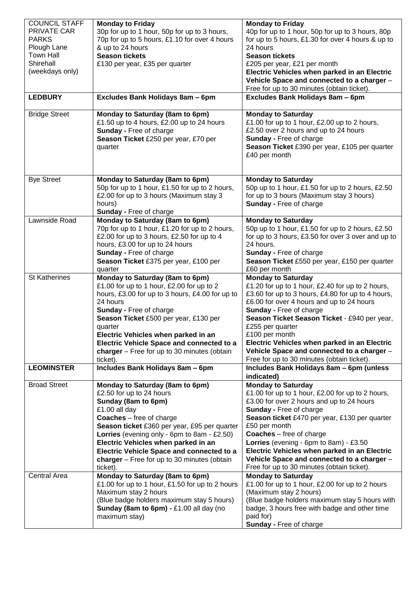| <b>COUNCIL STAFF</b> | <b>Monday to Friday</b>                          | <b>Monday to Friday</b>                            |
|----------------------|--------------------------------------------------|----------------------------------------------------|
| PRIVATE CAR          | 30p for up to 1 hour, 50p for up to 3 hours,     | 40p for up to 1 hour, 50p for up to 3 hours, 80p   |
| <b>PARKS</b>         | 70p for up to 5 hours, £1.10 for over 4 hours    | for up to 5 hours, £1.30 for over 4 hours & up to  |
| Plough Lane          | & up to 24 hours                                 | 24 hours                                           |
| <b>Town Hall</b>     | <b>Season tickets</b>                            | <b>Season tickets</b>                              |
| Shirehall            | £130 per year, £35 per quarter                   | £205 per year, £21 per month                       |
| (weekdays only)      |                                                  | Electric Vehicles when parked in an Electric       |
|                      |                                                  | Vehicle Space and connected to a charger -         |
|                      |                                                  | Free for up to 30 minutes (obtain ticket).         |
| <b>LEDBURY</b>       | Excludes Bank Holidays 8am - 6pm                 | Excludes Bank Holidays 8am - 6pm                   |
|                      |                                                  |                                                    |
| <b>Bridge Street</b> | Monday to Saturday (8am to 6pm)                  | <b>Monday to Saturday</b>                          |
|                      | £1.50 up to 4 hours, £2.00 up to 24 hours        | £1.00 for up to 1 hour, £2.00 up to 2 hours,       |
|                      | Sunday - Free of charge                          | £2.50 over 2 hours and up to 24 hours              |
|                      | Season Ticket £250 per year, £70 per             | Sunday - Free of charge                            |
|                      | quarter                                          | Season Ticket £390 per year, £105 per quarter      |
|                      |                                                  | £40 per month                                      |
|                      |                                                  |                                                    |
| <b>Bye Street</b>    | Monday to Saturday (8am to 6pm)                  | <b>Monday to Saturday</b>                          |
|                      | 50p for up to 1 hour, £1.50 for up to 2 hours,   | 50p up to 1 hour, £1.50 for up to 2 hours, £2.50   |
|                      | £2.00 for up to 3 hours (Maximum stay 3          | for up to 3 hours (Maximum stay 3 hours)           |
|                      | hours)                                           | <b>Sunday - Free of charge</b>                     |
|                      | Sunday - Free of charge                          |                                                    |
| Lawnside Road        | Monday to Saturday (8am to 6pm)                  | <b>Monday to Saturday</b>                          |
|                      | 70p for up to 1 hour, £1.20 for up to 2 hours,   | 50p up to 1 hour, £1.50 for up to 2 hours, £2.50   |
|                      | £2.00 for up to 3 hours, £2.50 for up to 4       | for up to 3 hours, £3.50 for over 3 over and up to |
|                      | hours, £3.00 for up to 24 hours                  | 24 hours.                                          |
|                      | Sunday - Free of charge                          | <b>Sunday - Free of charge</b>                     |
|                      | Season Ticket £375 per year, £100 per            | Season Ticket £550 per year, £150 per quarter      |
|                      | quarter                                          | £60 per month                                      |
| <b>St Katherines</b> | Monday to Saturday (8am to 6pm)                  | <b>Monday to Saturday</b>                          |
|                      | £1.00 for up to 1 hour, £2.00 for up to 2        | £1.20 for up to 1 hour, £2.40 for up to 2 hours,   |
|                      | hours, £3.00 for up to 3 hours, £4.00 for up to  | £3.60 for up to 3 hours, £4.80 for up to 4 hours,  |
|                      | 24 hours                                         | £6.00 for over 4 hours and up to 24 hours          |
|                      | <b>Sunday - Free of charge</b>                   | Sunday - Free of charge                            |
|                      | Season Ticket £500 per year, £130 per            | Season Ticket Season Ticket - £940 per year,       |
|                      | quarter                                          | £255 per quarter                                   |
|                      | Electric Vehicles when parked in an              | £100 per month                                     |
|                      | <b>Electric Vehicle Space and connected to a</b> | Electric Vehicles when parked in an Electric       |
|                      | charger $-$ Free for up to 30 minutes (obtain    | Vehicle Space and connected to a charger -         |
|                      | ticket).                                         | Free for up to 30 minutes (obtain ticket).         |
| <b>LEOMINSTER</b>    | Includes Bank Holidays 8am - 6pm                 | Includes Bank Holidays 8am - 6pm (unless           |
|                      |                                                  | indicated)                                         |
| <b>Broad Street</b>  | Monday to Saturday (8am to 6pm)                  | <b>Monday to Saturday</b>                          |
|                      | £2.50 for up to 24 hours                         | £1.00 for up to 1 hour, £2.00 for up to 2 hours,   |
|                      | Sunday (8am to 6pm)                              | £3.00 for over 2 hours and up to 24 hours          |
|                      | £1.00 all day                                    | <b>Sunday - Free of charge</b>                     |
|                      | <b>Coaches</b> – free of charge                  | Season ticket £470 per year, £130 per quarter      |
|                      | Season ticket £360 per year, £95 per quarter     | £50 per month                                      |
|                      | Lorries (evening only - 6pm to 8am - £2.50)      | <b>Coaches</b> – free of charge                    |
|                      | Electric Vehicles when parked in an              | Lorries (evening - 6pm to 8am) - £3.50             |
|                      | Electric Vehicle Space and connected to a        | Electric Vehicles when parked in an Electric       |
|                      | charger - Free for up to 30 minutes (obtain      | Vehicle Space and connected to a charger -         |
|                      | ticket).                                         | Free for up to 30 minutes (obtain ticket).         |
| <b>Central Area</b>  | Monday to Saturday (8am to 6pm)                  | <b>Monday to Saturday</b>                          |
|                      | £1.00 for up to 1 hour, £1.50 for up to 2 hours  | £1.00 for up to 1 hour, £2.00 for up to 2 hours    |
|                      | Maximum stay 2 hours                             | (Maximum stay 2 hours)                             |
|                      | (Blue badge holders maximum stay 5 hours)        | (Blue badge holders maximum stay 5 hours with      |
|                      | Sunday (8am to 6pm) - £1.00 all day (no          | badge, 3 hours free with badge and other time      |
|                      | maximum stay)                                    | paid for)                                          |
|                      |                                                  | Sunday - Free of charge                            |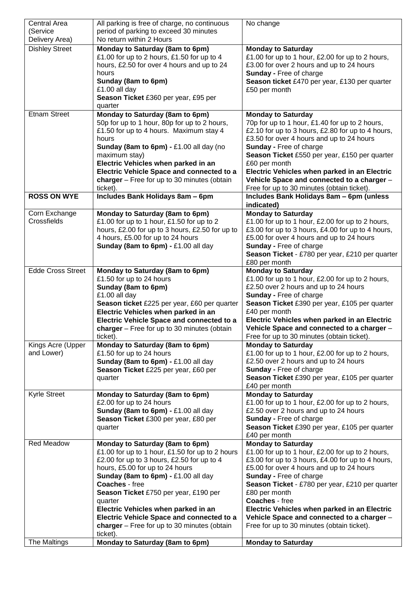| Central Area             | All parking is free of charge, no continuous     | No change                                         |
|--------------------------|--------------------------------------------------|---------------------------------------------------|
| (Service                 | period of parking to exceed 30 minutes           |                                                   |
| Delivery Area)           | No return within 2 Hours                         |                                                   |
| <b>Dishley Street</b>    | Monday to Saturday (8am to 6pm)                  | <b>Monday to Saturday</b>                         |
|                          | £1.00 for up to 2 hours, £1.50 for up to 4       | £1.00 for up to 1 hour, £2.00 for up to 2 hours,  |
|                          | hours, £2.50 for over 4 hours and up to 24       | £3.00 for over 2 hours and up to 24 hours         |
|                          | hours                                            | <b>Sunday - Free of charge</b>                    |
|                          | Sunday (8am to 6pm)                              | Season ticket £470 per year, £130 per quarter     |
|                          | £1.00 all day                                    | £50 per month                                     |
|                          | Season Ticket £360 per year, £95 per             |                                                   |
|                          | quarter                                          |                                                   |
| <b>Etnam Street</b>      | Monday to Saturday (8am to 6pm)                  | <b>Monday to Saturday</b>                         |
|                          | 50p for up to 1 hour, 80p for up to 2 hours,     | 70p for up to 1 hour, £1.40 for up to 2 hours,    |
|                          |                                                  |                                                   |
|                          | £1.50 for up to 4 hours. Maximum stay 4          | £2.10 for up to 3 hours, £2.80 for up to 4 hours, |
|                          | hours                                            | £3.50 for over 4 hours and up to 24 hours         |
|                          | Sunday (8am to 6pm) - £1.00 all day (no          | <b>Sunday - Free of charge</b>                    |
|                          | maximum stay)                                    | Season Ticket £550 per year, £150 per quarter     |
|                          | Electric Vehicles when parked in an              | £60 per month                                     |
|                          | Electric Vehicle Space and connected to a        | Electric Vehicles when parked in an Electric      |
|                          | charger $-$ Free for up to 30 minutes (obtain    | Vehicle Space and connected to a charger -        |
|                          | ticket).                                         | Free for up to 30 minutes (obtain ticket).        |
| <b>ROSS ON WYE</b>       | Includes Bank Holidays 8am - 6pm                 | Includes Bank Holidays 8am - 6pm (unless          |
|                          |                                                  | indicated)                                        |
| Corn Exchange            | Monday to Saturday (8am to 6pm)                  | <b>Monday to Saturday</b>                         |
| Crossfields              | £1.00 for up to 1 hour, £1.50 for up to 2        | £1.00 for up to 1 hour, £2.00 for up to 2 hours,  |
|                          | hours, £2.00 for up to 3 hours, £2.50 for up to  | £3.00 for up to 3 hours, £4.00 for up to 4 hours, |
|                          | 4 hours, £5.00 for up to 24 hours                | £5.00 for over 4 hours and up to 24 hours         |
|                          | Sunday (8am to 6pm) - £1.00 all day              | <b>Sunday - Free of charge</b>                    |
|                          |                                                  | Season Ticket - £780 per year, £210 per quarter   |
|                          |                                                  | £80 per month                                     |
| <b>Edde Cross Street</b> | Monday to Saturday (8am to 6pm)                  | <b>Monday to Saturday</b>                         |
|                          | £1.50 for up to 24 hours                         | £1.00 for up to 1 hour, £2.00 for up to 2 hours,  |
|                          | Sunday (8am to 6pm)                              | £2.50 over 2 hours and up to 24 hours             |
|                          | £1.00 all day                                    | <b>Sunday - Free of charge</b>                    |
|                          | Season ticket £225 per year, £60 per quarter     | Season Ticket £390 per year, £105 per quarter     |
|                          | Electric Vehicles when parked in an              | £40 per month                                     |
|                          | <b>Electric Vehicle Space and connected to a</b> | Electric Vehicles when parked in an Electric      |
|                          | charger - Free for up to 30 minutes (obtain      | Vehicle Space and connected to a charger -        |
|                          | ticket).                                         | Free for up to 30 minutes (obtain ticket).        |
| Kings Acre (Upper        | Monday to Saturday (8am to 6pm)                  | <b>Monday to Saturday</b>                         |
| and Lower)               | £1.50 for up to 24 hours                         | £1.00 for up to 1 hour, £2.00 for up to 2 hours,  |
|                          | Sunday (8am to 6pm) - £1.00 all day              | £2.50 over 2 hours and up to 24 hours             |
|                          |                                                  | <b>Sunday - Free of charge</b>                    |
|                          | Season Ticket £225 per year, £60 per             | Season Ticket £390 per year, £105 per quarter     |
|                          | quarter                                          |                                                   |
| <b>Kyrle Street</b>      |                                                  | £40 per month<br><b>Monday to Saturday</b>        |
|                          | Monday to Saturday (8am to 6pm)                  |                                                   |
|                          | £2.00 for up to 24 hours                         | £1.00 for up to 1 hour, £2.00 for up to 2 hours,  |
|                          | Sunday (8am to 6pm) - £1.00 all day              | £2.50 over 2 hours and up to 24 hours             |
|                          | Season Ticket £300 per year, £80 per             | <b>Sunday - Free of charge</b>                    |
|                          | quarter                                          | Season Ticket £390 per year, £105 per quarter     |
|                          |                                                  | £40 per month                                     |
| <b>Red Meadow</b>        | Monday to Saturday (8am to 6pm)                  | <b>Monday to Saturday</b>                         |
|                          | £1.00 for up to 1 hour, £1.50 for up to 2 hours  | £1.00 for up to 1 hour, £2.00 for up to 2 hours,  |
|                          | £2.00 for up to 3 hours, £2.50 for up to 4       | £3.00 for up to 3 hours, £4.00 for up to 4 hours, |
|                          | hours, £5.00 for up to 24 hours                  | £5.00 for over 4 hours and up to 24 hours         |
|                          | Sunday (8am to 6pm) - £1.00 all day              | <b>Sunday - Free of charge</b>                    |
|                          | <b>Coaches</b> - free                            | Season Ticket - £780 per year, £210 per quarter   |
|                          | Season Ticket £750 per year, £190 per            | £80 per month                                     |
|                          | quarter                                          | Coaches - free                                    |
|                          | Electric Vehicles when parked in an              | Electric Vehicles when parked in an Electric      |
|                          | Electric Vehicle Space and connected to a        | Vehicle Space and connected to a charger -        |
|                          | charger - Free for up to 30 minutes (obtain      | Free for up to 30 minutes (obtain ticket).        |
|                          | ticket).                                         |                                                   |
| The Maltings             | Monday to Saturday (8am to 6pm)                  | <b>Monday to Saturday</b>                         |